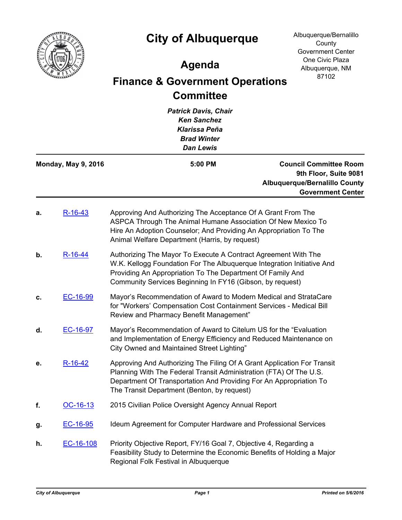

## **City of Albuquerque**

Albuquerque/Bernalillo **County** Government Center One Civic Plaza Albuquerque, NM 87102

## **Agenda**

## **Finance & Government Operations Committee**

*Patrick Davis, Chair Ken Sanchez Klarissa Peña Brad Winter Dan Lewis* **Council Committee Room 9th Floor, Suite 9081 Albuquerque/Bernalillo County Government Center Monday, May 9, 2016 5:00 PM a.** [R-16-43](http://cabq.legistar.com/gateway.aspx?m=l&id=/matter.aspx?key=10148) Approving And Authorizing The Acceptance Of A Grant From The ASPCA Through The Animal Humane Association Of New Mexico To Hire An Adoption Counselor; And Providing An Appropriation To The Animal Welfare Department (Harris, by request) **b.** [R-16-44](http://cabq.legistar.com/gateway.aspx?m=l&id=/matter.aspx?key=10149) Authorizing The Mayor To Execute A Contract Agreement With The W.K. Kellogg Foundation For The Albuquerque Integration Initiative And Providing An Appropriation To The Department Of Family And Community Services Beginning In FY16 (Gibson, by request) **c.** [EC-16-99](http://cabq.legistar.com/gateway.aspx?m=l&id=/matter.aspx?key=10142) Mayor's Recommendation of Award to Modern Medical and StrataCare for "Workers' Compensation Cost Containment Services - Medical Bill Review and Pharmacy Benefit Management" **d.** [EC-16-97](http://cabq.legistar.com/gateway.aspx?m=l&id=/matter.aspx?key=10140) Mayor's Recommendation of Award to Citelum US for the "Evaluation and Implementation of Energy Efficiency and Reduced Maintenance on City Owned and Maintained Street Lighting" **e.** [R-16-42](http://cabq.legistar.com/gateway.aspx?m=l&id=/matter.aspx?key=10147) Approving And Authorizing The Filing Of A Grant Application For Transit Planning With The Federal Transit Administration (FTA) Of The U.S. Department Of Transportation And Providing For An Appropriation To The Transit Department (Benton, by request) **f.** [OC-16-13](http://cabq.legistar.com/gateway.aspx?m=l&id=/matter.aspx?key=10136) 2015 Civilian Police Oversight Agency Annual Report **g.** [EC-16-95](http://cabq.legistar.com/gateway.aspx?m=l&id=/matter.aspx?key=10138) Ideum Agreement for Computer Hardware and Professional Services **h.** [EC-16-108](http://cabq.legistar.com/gateway.aspx?m=l&id=/matter.aspx?key=10161) Priority Objective Report, FY/16 Goal 7, Objective 4, Regarding a Feasibility Study to Determine the Economic Benefits of Holding a Major Regional Folk Festival in Albuquerque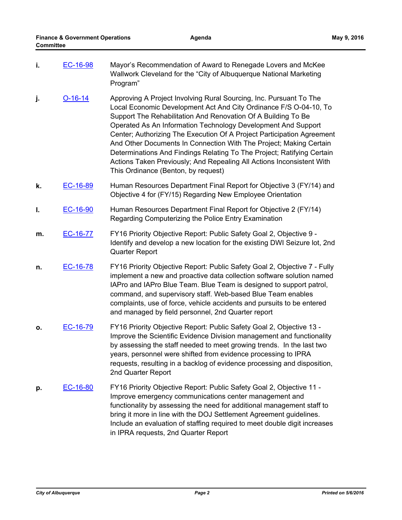- **i. [EC-16-98](http://cabq.legistar.com/gateway.aspx?m=l&id=/matter.aspx?key=10141)** Mayor's Recommendation of Award to Renegade Lovers and McKee Wallwork Cleveland for the "City of Albuquerque National Marketing Program"
- **j. [O-16-14](http://cabq.legistar.com/gateway.aspx?m=l&id=/matter.aspx?key=10099)** Approving A Project Involving Rural Sourcing, Inc. Pursuant To The Local Economic Development Act And City Ordinance F/S O-04-10, To Support The Rehabilitation And Renovation Of A Building To Be Operated As An Information Technology Development And Support Center; Authorizing The Execution Of A Project Participation Agreement And Other Documents In Connection With The Project; Making Certain Determinations And Findings Relating To The Project; Ratifying Certain Actions Taken Previously; And Repealing All Actions Inconsistent With This Ordinance (Benton, by request)
- **k.** [EC-16-89](http://cabq.legistar.com/gateway.aspx?m=l&id=/matter.aspx?key=10121) Human Resources Department Final Report for Objective 3 (FY/14) and Objective 4 for (FY/15) Regarding New Employee Orientation
- **l.** [EC-16-90](http://cabq.legistar.com/gateway.aspx?m=l&id=/matter.aspx?key=10122) Human Resources Department Final Report for Objective 2 (FY/14) Regarding Computerizing the Police Entry Examination
- **m.** [EC-16-77](http://cabq.legistar.com/gateway.aspx?m=l&id=/matter.aspx?key=10102) FY16 Priority Objective Report: Public Safety Goal 2, Objective 9 Identify and develop a new location for the existing DWI Seizure lot, 2nd Quarter Report
- **n.** [EC-16-78](http://cabq.legistar.com/gateway.aspx?m=l&id=/matter.aspx?key=10103) FY16 Priority Objective Report: Public Safety Goal 2, Objective 7 Fully implement a new and proactive data collection software solution named IAPro and IAPro Blue Team. Blue Team is designed to support patrol, command, and supervisory staff. Web-based Blue Team enables complaints, use of force, vehicle accidents and pursuits to be entered and managed by field personnel, 2nd Quarter report
- **o.** [EC-16-79](http://cabq.legistar.com/gateway.aspx?m=l&id=/matter.aspx?key=10104) FY16 Priority Objective Report: Public Safety Goal 2, Objective 13 Improve the Scientific Evidence Division management and functionality by assessing the staff needed to meet growing trends. In the last two years, personnel were shifted from evidence processing to IPRA requests, resulting in a backlog of evidence processing and disposition, 2nd Quarter Report
- **p.** [EC-16-80](http://cabq.legistar.com/gateway.aspx?m=l&id=/matter.aspx?key=10105) FY16 Priority Objective Report: Public Safety Goal 2, Objective 11 Improve emergency communications center management and functionality by assessing the need for additional management staff to bring it more in line with the DOJ Settlement Agreement guidelines. Include an evaluation of staffing required to meet double digit increases in IPRA requests, 2nd Quarter Report